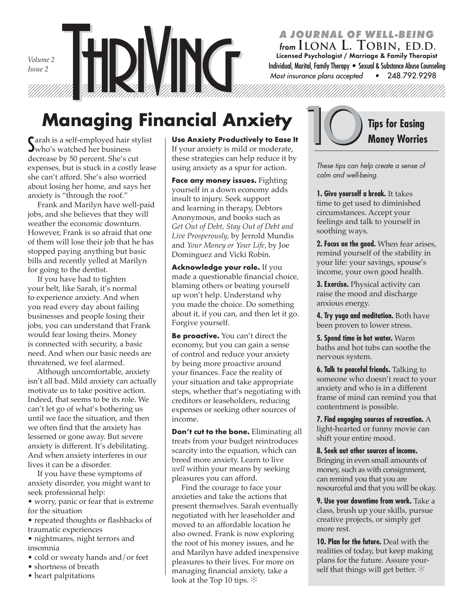*Volume 2 Issue 2*

#### *A JOURNAL OF WELL-BEING from* **ILONA L. TOBIN, ED.D.**

 Individual, Marital, Family Therapy • Sexual & Substance Abuse Counseling 248.792.9298 Licensed Psychologist / Marriage & Family Therapist *Most insurance plans accepted* •

# **Managing Financial Anxiety**

S arah is a self-employed hair stylist who's watched her business decrease by 50 percent. She's cut expenses, but is stuck in a costly lease she can't afford. She's also worried about losing her home, and says her anxiety is "through the roof."

 Frank and Marilyn have well-paid jobs, and she believes that they will weather the economic downturn. However, Frank is so afraid that one of them will lose their job that he has stopped paying anything but basic bills and recently yelled at Marilyn for going to the dentist.

 If you have had to tighten your belt, like Sarah, it's normal to experience anxiety. And when you read every day about failing businesses and people losing their jobs, you can understand that Frank would fear losing theirs. Money is connected with security, a basic need. And when our basic needs are threatened, we feel alarmed.

 Although uncomfortable, anxiety isn't all bad. Mild anxiety can actually motivate us to take positive action. Indeed, that seems to be its role. We can't let go of what's bothering us until we face the situation, and then we often find that the anxiety has lessened or gone away. But severe anxiety is different. It's debilitating. And when anxiety interferes in our lives it can be a disorder.

 If you have these symptoms of anxiety disorder, you might want to seek professional help:

• worry, panic or fear that is extreme for the situation

• repeated thoughts or flashbacks of traumatic experiences

- nightmares, night terrors and insomnia
- cold or sweaty hands and/or feet
- shortness of breath
- heart palpitations

**Use Anxiety Productively to Ease It** If your anxiety is mild or moderate, these strategies can help reduce it by using anxiety as a spur for action.

**Face any money issues.** Fighting yourself in a down economy adds insult to injury. Seek support and learning in therapy, Debtors Anonymous, and books such as *Get Out of Debt, Stay Out of Debt and Live Prosperously,* by Jerrold Mundis and *Your Money or Your Life,* by Joe Dominguez and Vicki Robin*.*

**Acknowledge your role.** If you made a questionable financial choice, blaming others or beating yourself up won't help. Understand why you made the choice. Do something about it, if you can, and then let it go. Forgive yourself.

**Be proactive.** You can't direct the economy, but you can gain a sense of control and reduce your anxiety by being more proactive around your finances. Face the reality of your situation and take appropriate steps, whether that's negotiating with creditors or leaseholders, reducing expenses or seeking other sources of income.

**Don't cut to the bone.** Eliminating all treats from your budget reintroduces scarcity into the equation, which can breed more anxiety. Learn to live *well* within your means by seeking pleasures you can afford.

 Find the courage to face your anxieties and take the actions that present themselves. Sarah eventually negotiated with her leaseholder and moved to an affordable location he also owned. Frank is now exploring the root of his money issues, and he and Marilyn have added inexpensive pleasures to their lives. For more on managing financial anxiety, take a look at the Top 10 tips. ✻



ĺ.

*These tips can help create a sense of calm and well-being.* 

**1. Give yourself a break.** It takes time to get used to diminished circumstances. Accept your feelings and talk to yourself in soothing ways.

**2. Focus on the good.** When fear arises, remind yourself of the stability in your life: your savings, spouse's income, your own good health.

**3. Exercise.** Physical activity can raise the mood and discharge anxious energy.

**4. Try yoga and meditation.** Both have been proven to lower stress.

**5. Spend time in hot water.** Warm baths and hot tubs can soothe the nervous system.

**6. Talk to peaceful friends.** Talking to someone who doesn't react to your anxiety and who is in a different frame of mind can remind you that contentment is possible.

**7. Find engaging sources of recreation.** A light-hearted or funny movie can shift your entire mood.

**8. Seek out other sources of income.** Bringing in even small amounts of money, such as with consignment, can remind you that you are resourceful and that you will be okay.

**9. Use your downtime from work.** Take a class, brush up your skills, pursue creative projects, or simply get more rest.

**10. Plan for the future.** Deal with the realities of today, but keep making plans for the future. Assure yourself that things will get better.  $*$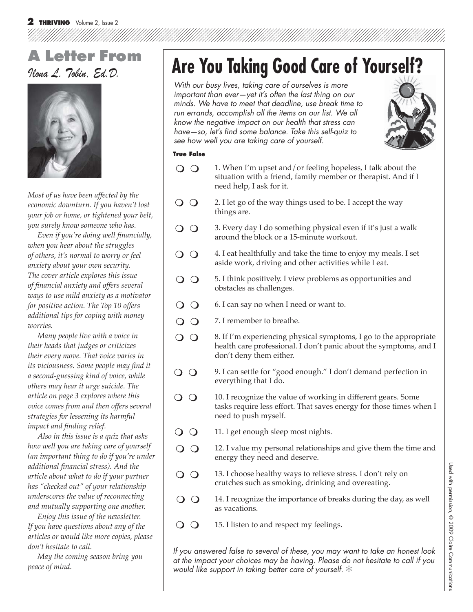### Ilona L. Tobin, Ed.D. **A Letter From**



*Most of us have been affected by the economic downturn. If you haven't lost your job or home, or tightened your belt, you surely know someone who has.*

Even if you're doing well financially, *when you hear about the struggles of others, it's normal to worry or feel anxiety about your own security. The cover article explores this issue of fi nancial anxiety and offers several ways to use mild anxiety as a motivator for positive action. The Top 10 offers additional tips for coping with money worries.*

 *Many people live with a voice in their heads that judges or criticizes their every move. That voice varies in its viciousness. Some people may find it a second-guessing kind of voice, while others may hear it urge suicide. The article on page 3 explores where this voice comes from and then offers several strategies for lessening its harmful impact and finding relief.* 

 *Also in this issue is a quiz that asks how well you are taking care of yourself (an important thing to do if you're under additional fi nancial stress). And the article about what to do if your partner has "checked out" of your relationship underscores the value of reconnecting and mutually supporting one another.*

 *Enjoy this issue of the newsletter. If you have questions about any of the articles or would like more copies, please don't hesitate to call.* 

 *May the coming season bring you peace of mind.*

# **Are You Taking Good Care of Yourself?**

*With our busy lives, taking care of ourselves is more important than ever—yet it's often the last thing on our minds. We have to meet that deadline, use break time to run errands, accomplish all the items on our list. We all know the negative impact on our health that stress can have—so, let's fi nd some balance. Take this self-quiz to see how well you are taking care of yourself.* 



#### **True False**

- $\overline{O}$   $\overline{O}$ 1. When I'm upset and/or feeling hopeless, I talk about the situation with a friend, family member or therapist. And if I need help, I ask for it.
- $\overline{O}$ 2. I let go of the way things used to be. I accept the way things are.
- $\Omega$ 3. Every day I do something physical even if it's just a walk around the block or a 15-minute workout.
- $\overline{O}$ 4. I eat healthfully and take the time to enjoy my meals. I set aside work, driving and other activities while I eat.
- $\Omega$ 5. I think positively. I view problems as opportunities and obstacles as challenges.
- $\Omega$ 6. I can say no when I need or want to.
- $\Omega$ 7. I remember to breathe.
- $\Omega$ 8. If I'm experiencing physical symptoms, I go to the appropriate health care professional. I don't panic about the symptoms, and I don't deny them either.
- 9. I can settle for "good enough." I don't demand perfection in  $\Omega$ everything that I do.
- $\overline{O}$ 10. I recognize the value of working in different gears. Some tasks require less effort. That saves energy for those times when I need to push myself.
- $\Omega$ 11. I get enough sleep most nights.
- $\Omega$ 12. I value my personal relationships and give them the time and energy they need and deserve.
- $\overline{O}$   $\overline{O}$ 13. I choose healthy ways to relieve stress. I don't rely on crutches such as smoking, drinking and overeating.
- $\Omega$ 14. I recognize the importance of breaks during the day, as well as vacations.
- $\Omega$ 15. I listen to and respect my feelings.

*If you answered false to several of these, you may want to take an honest look at the impact your choices may be having. Please do not hesitate to call if you would like support in taking better care of yourself.* ✻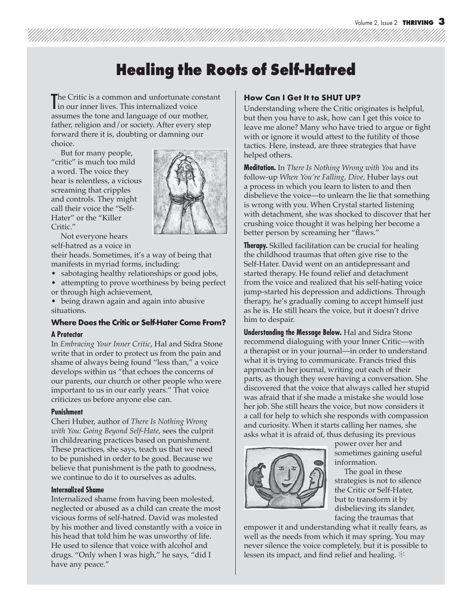### **Healing the Roots of Self-Hatred**

The Critic is a common and unfortunate co<br>in our inner lives. This internalized voice he Critic is a common and unfortunate constant assumes the tone and language of our mother, father, religion and/or society. After every step forward there it is, doubting or damning our choice.

 But for many people, "critic" is much too mild a word. The voice they hear is relentless, a vicious screaming that cripples and controls. They might call their voice the "Self-Hater" or the "Killer Critic."



 Not everyone hears self-hatred as a voice in

their heads. Sometimes, it's a way of being that manifests in myriad forms, including:

- sabotaging healthy relationships or good jobs,
- attempting to prove worthiness by being perfect or through high achievement,
- being drawn again and again into abusive situations.

#### **Where Does the Critic or Self-Hater Come From?**

#### **A Protector**

In *Embracing Your Inner Critic*, Hal and Sidra Stone write that in order to protect us from the pain and shame of always being found "less than," a voice develops within us "that echoes the concerns of our parents, our church or other people who were important to us in our early years." That voice criticizes us before anyone else can.

#### **Punishment**

Cheri Huber, author of *There Is Nothing Wrong with You: Going Beyond Self-Hate*, sees the culprit in childrearing practices based on punishment. These practices, she says, teach us that we need to be punished in order to be good. Because we believe that punishment is the path to goodness, we continue to do it to ourselves as adults.

#### **Internalized Shame**

Internalized shame from having been molested, neglected or abused as a child can create the most vicious forms of self-hatred. David was molested by his mother and lived constantly with a voice in his head that told him he was unworthy of life. He used to silence that voice with alcohol and drugs. "Only when I was high," he says, "did I have any peace."

#### **How Can I Get It to SHUT UP?**

Understanding where the Critic originates is helpful, but then you have to ask, how can I get this voice to leave me alone? Many who have tried to argue or fight with or ignore it would attest to the futility of those tactics. Here, instead, are three strategies that have helped others.

**Meditation.** In *There Is Nothing Wrong with You* and its follow-up *When You're Falling, Dive,* Huber lays out a process in which you learn to listen to and then disbelieve the voice—to unlearn the lie that something is wrong with you. When Crystal started listening with detachment, she was shocked to discover that her crushing voice thought it was helping her become a better person by screaming her "flaws."

**Therapy.** Skilled facilitation can be crucial for healing the childhood traumas that often give rise to the Self-Hater. David went on an antidepressant and started therapy. He found relief and detachment from the voice and realized that his self-hating voice jump-started his depression and addictions. Through therapy, he's gradually coming to accept himself just as he is. He still hears the voice, but it doesn't drive him to despair.

**Understanding the Message Below.** Hal and Sidra Stone recommend dialoguing with your Inner Critic—with a therapist or in your journal—in order to understand what it is trying to communicate. Francis tried this approach in her journal, writing out each of their parts, as though they were having a conversation. She discovered that the voice that always called her stupid was afraid that if she made a mistake she would lose her job. She still hears the voice, but now considers it a call for help to which she responds with compassion and curiosity. When it starts calling her names, she asks what it is afraid of, thus defusing its previous



power over her and sometimes gaining useful information.

 The goal in these strategies is not to silence the Critic or Self-Hater, but to transform it by disbelieving its slander, facing the traumas that

empower it and understanding what it really fears, as well as the needs from which it may spring. You may never silence the voice completely, but it is possible to lessen its impact, and find relief and healing.  $*$